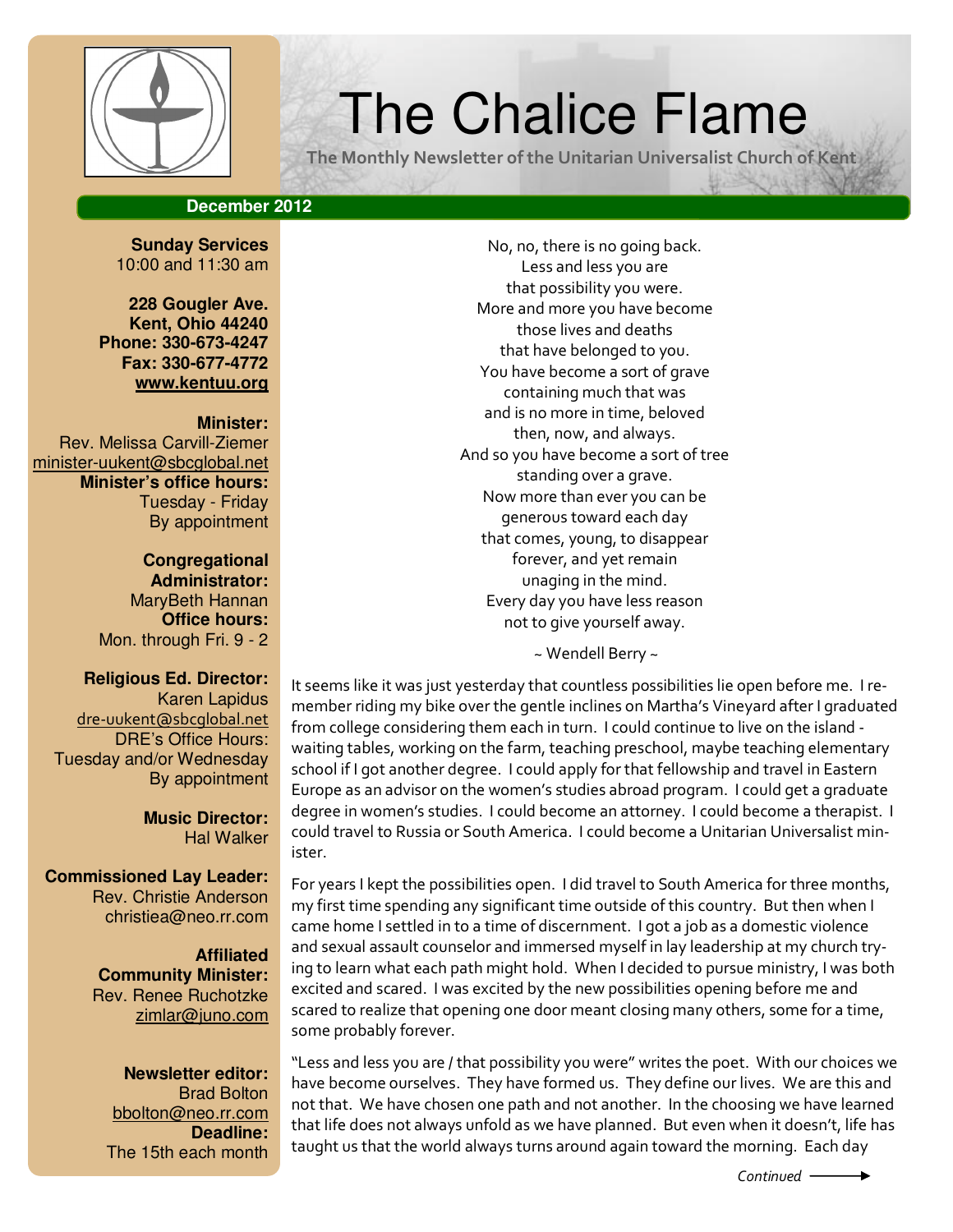

# $\left|\left(\frac{\psi}{\psi}\right)\right|$  The Chalice Flame

The Monthly Newsletter of the Unitarian Universalist Church of Kent

## **December 2012**

**Sunday Services**  10:00 and 11:30 am

**228 Gougler Ave. Kent, Ohio 44240 Phone: 330-673-4247 Fax: 330-677-4772 www.kentuu.org**

#### **Minister:**

Rev. Melissa Carvill-Ziemer minister-uukent@sbcglobal.net **Minister's office hours:**  Tuesday - Friday By appointment

> **Congregational Administrator:** MaryBeth Hannan **Office hours:** Mon. through Fri. 9 - 2

#### **Religious Ed. Director:**

Karen Lapidus dre-uukent@sbcglobal.net DRE's Office Hours: Tuesday and/or Wednesday By appointment

> **Music Director:**  Hal Walker

**Commissioned Lay Leader:**  Rev. Christie Anderson christiea@neo.rr.com

> **Affiliated Community Minister:**  Rev. Renee Ruchotzke zimlar@juno.com

**Newsletter editor:**  Brad Bolton bbolton@neo.rr.com **Deadline:**  The 15th each month

No, no, there is no going back. Less and less you are that possibility you were. More and more you have become those lives and deaths that have belonged to you. You have become a sort of grave containing much that was and is no more in time, beloved then, now, and always. And so you have become a sort of tree standing over a grave. Now more than ever you can be generous toward each day that comes, young, to disappear forever, and yet remain unaging in the mind. Every day you have less reason not to give yourself away.

~ Wendell Berry ~

It seems like it was just yesterday that countless possibilities lie open before me. I remember riding my bike over the gentle inclines on Martha's Vineyard after I graduated from college considering them each in turn. I could continue to live on the island waiting tables, working on the farm, teaching preschool, maybe teaching elementary school if I got another degree. I could apply for that fellowship and travel in Eastern Europe as an advisor on the women's studies abroad program. I could get a graduate degree in women's studies. I could become an attorney. I could become a therapist. I could travel to Russia or South America. I could become a Unitarian Universalist minister.

For years I kept the possibilities open. I did travel to South America for three months, my first time spending any significant time outside of this country. But then when I came home I settled in to a time of discernment. I got a job as a domestic violence and sexual assault counselor and immersed myself in lay leadership at my church trying to learn what each path might hold. When I decided to pursue ministry, I was both excited and scared. I was excited by the new possibilities opening before me and scared to realize that opening one door meant closing many others, some for a time, some probably forever.

"Less and less you are / that possibility you were" writes the poet. With our choices we have become ourselves. They have formed us. They define our lives. We are this and not that. We have chosen one path and not another. In the choosing we have learned that life does not always unfold as we have planned. But even when it doesn't, life has taught us that the world always turns around again toward the morning. Each day

 $Control$   $\longrightarrow$ 

MAG PANT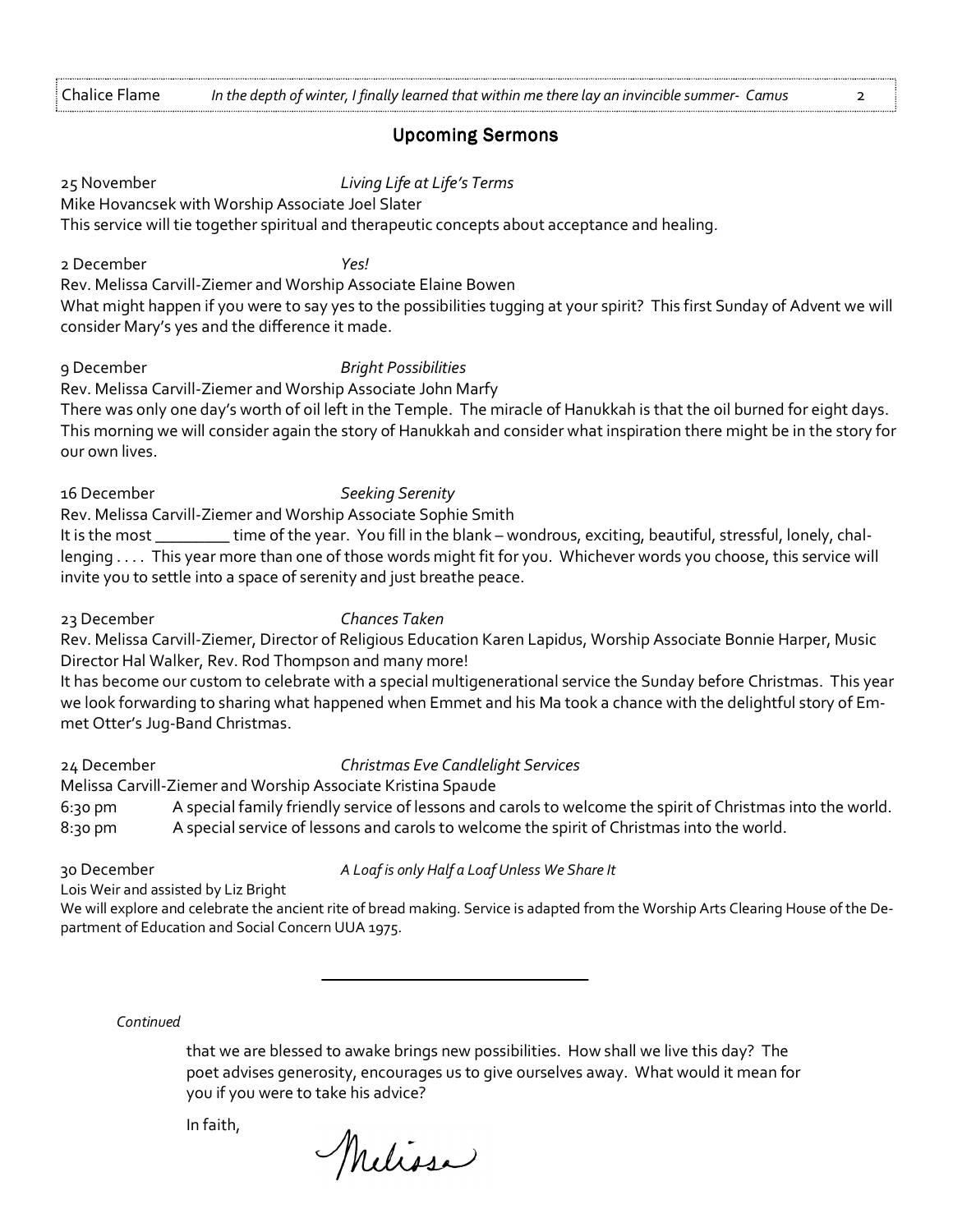#### **Upcoming Sermons**

25 November Living Life at Life's Terms Mike Hovancsek with Worship Associate Joel Slater This service will tie together spiritual and therapeutic concepts about acceptance and healing. 2 December Yes! Rev. Melissa Carvill-Ziemer and Worship Associate Elaine Bowen What might happen if you were to say yes to the possibilities tugging at your spirit? This first Sunday of Advent we will consider Mary's yes and the difference it made. 9 December Bright Possibilities Rev. Melissa Carvill-Ziemer and Worship Associate John Marfy There was only one day's worth of oil left in the Temple. The miracle of Hanukkah is that the oil burned for eight days. This morning we will consider again the story of Hanukkah and consider what inspiration there might be in the story for our own lives. 16 December Seeking Serenity Rev. Melissa Carvill-Ziemer and Worship Associate Sophie Smith It is the most \_\_\_\_\_\_\_\_\_ time of the year. You fill in the blank – wondrous, exciting, beautiful, stressful, lonely, challenging . . . . This year more than one of those words might fit for you. Whichever words you choose, this service will invite you to settle into a space of serenity and just breathe peace. 23 December Chances Taken Rev. Melissa Carvill-Ziemer, Director of Religious Education Karen Lapidus, Worship Associate Bonnie Harper, Music Director Hal Walker, Rev. Rod Thompson and many more! It has become our custom to celebrate with a special multigenerational service the Sunday before Christmas. This year we look forwarding to sharing what happened when Emmet and his Ma took a chance with the delightful story of Emmet Otter's Jug-Band Christmas. 24 December Christmas Eve Candlelight Services Melissa Carvill-Ziemer and Worship Associate Kristina Spaude 6:30 pm A special family friendly service of lessons and carols to welcome the spirit of Christmas into the world. 8:30 pm A special service of lessons and carols to welcome the spirit of Christmas into the world. 30 December **A Loaf is only Half a Loaf Unless We Share It** 

Lois Weir and assisted by Liz Bright

We will explore and celebrate the ancient rite of bread making. Service is adapted from the Worship Arts Clearing House of the Department of Education and Social Concern UUA 1975.

#### **Continued**

that we are blessed to awake brings new possibilities. How shall we live this day? The poet advises generosity, encourages us to give ourselves away. What would it mean for you if you were to take his advice?

In faith,

Meliosa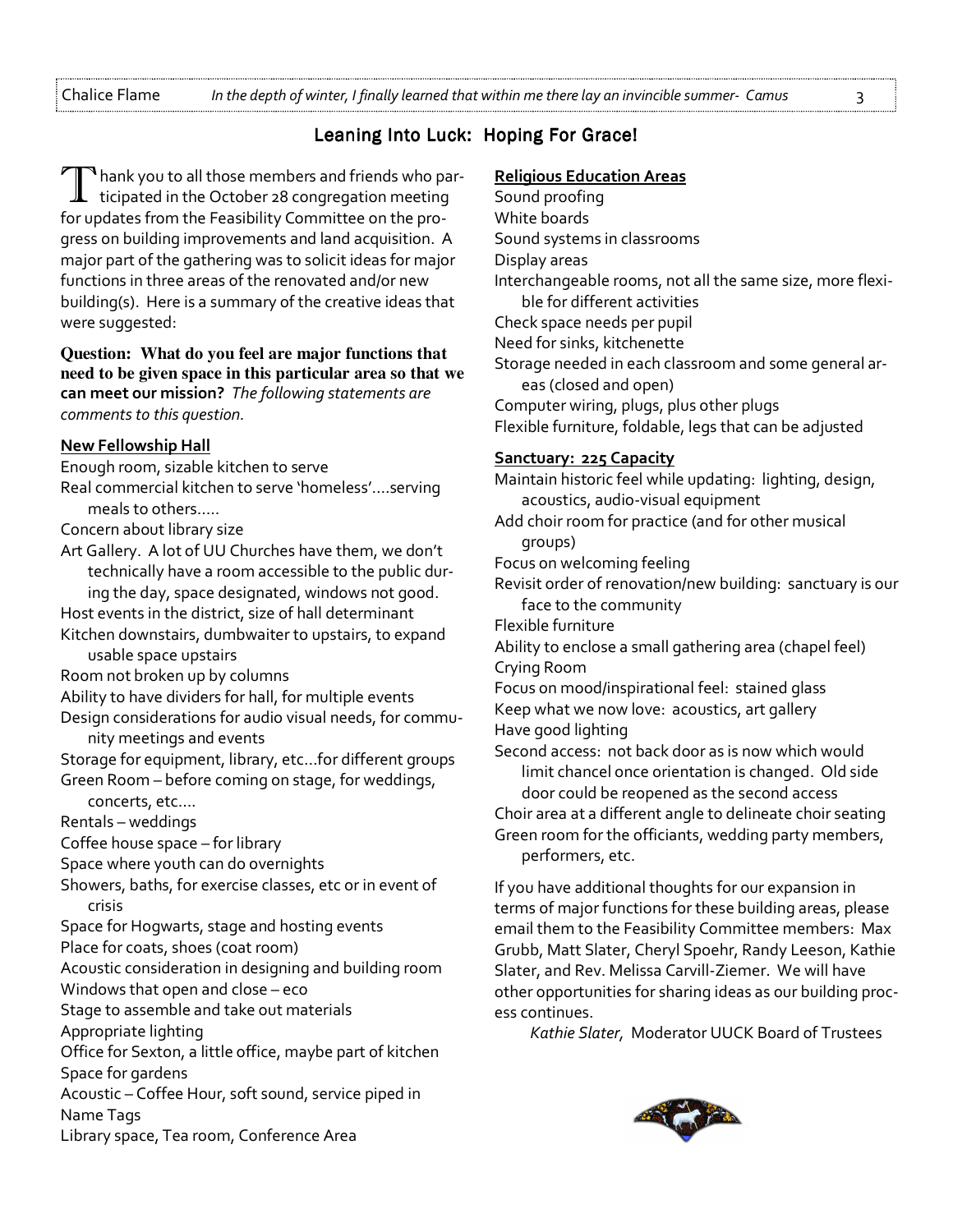Chalice Flame In the depth of winter, I finally learned that within me there lay an invincible summer- Camus 3

# Leaning Into Luck: Hoping For Grace!

 $^\blacklozenge$  hank you to all those members and friends who participated in the October 28 congregation meeting for updates from the Feasibility Committee on the progress on building improvements and land acquisition. A major part of the gathering was to solicit ideas for major functions in three areas of the renovated and/or new building(s). Here is a summary of the creative ideas that were suggested:

#### **Question: What do you feel are major functions that need to be given space in this particular area so that we**  can meet our mission? The following statements are comments to this question.

#### New Fellowship Hall

Enough room, sizable kitchen to serve

- Real commercial kitchen to serve 'homeless'….serving meals to others…..
- Concern about library size

Art Gallery. A lot of UU Churches have them, we don't technically have a room accessible to the public during the day, space designated, windows not good.

- Host events in the district, size of hall determinant Kitchen downstairs, dumbwaiter to upstairs, to expand usable space upstairs
- Room not broken up by columns
- Ability to have dividers for hall, for multiple events Design considerations for audio visual needs, for commu-

nity meetings and events

Storage for equipment, library, etc…for different groups Green Room – before coming on stage, for weddings,

concerts, etc….

Rentals – weddings

Coffee house space – for library

Space where youth can do overnights

Showers, baths, for exercise classes, etc or in event of crisis

- Space for Hogwarts, stage and hosting events
- Place for coats, shoes (coat room)

Acoustic consideration in designing and building room Windows that open and close – eco

Stage to assemble and take out materials

Appropriate lighting

Office for Sexton, a little office, maybe part of kitchen Space for gardens

Acoustic – Coffee Hour, soft sound, service piped in Name Tags

Library space, Tea room, Conference Area

## Religious Education Areas

Sound proofing White boards Sound systems in classrooms Display areas Interchangeable rooms, not all the same size, more flexible for different activities Check space needs per pupil Need for sinks, kitchenette Storage needed in each classroom and some general areas (closed and open) Computer wiring, plugs, plus other plugs Flexible furniture, foldable, legs that can be adjusted Sanctuary: 225 Capacity Maintain historic feel while updating: lighting, design, acoustics, audio-visual equipment

Add choir room for practice (and for other musical groups)

Focus on welcoming feeling

- Revisit order of renovation/new building: sanctuary is our face to the community
- Flexible furniture

Ability to enclose a small gathering area (chapel feel) Crying Room

Focus on mood/inspirational feel: stained glass Keep what we now love: acoustics, art gallery Have good lighting

Second access: not back door as is now which would limit chancel once orientation is changed. Old side door could be reopened as the second access

Choir area at a different angle to delineate choir seating Green room for the officiants, wedding party members, performers, etc.

If you have additional thoughts for our expansion in terms of major functions for these building areas, please email them to the Feasibility Committee members: Max Grubb, Matt Slater, Cheryl Spoehr, Randy Leeson, Kathie Slater, and Rev. Melissa Carvill-Ziemer. We will have other opportunities for sharing ideas as our building process continues.

Kathie Slater, Moderator UUCK Board of Trustees

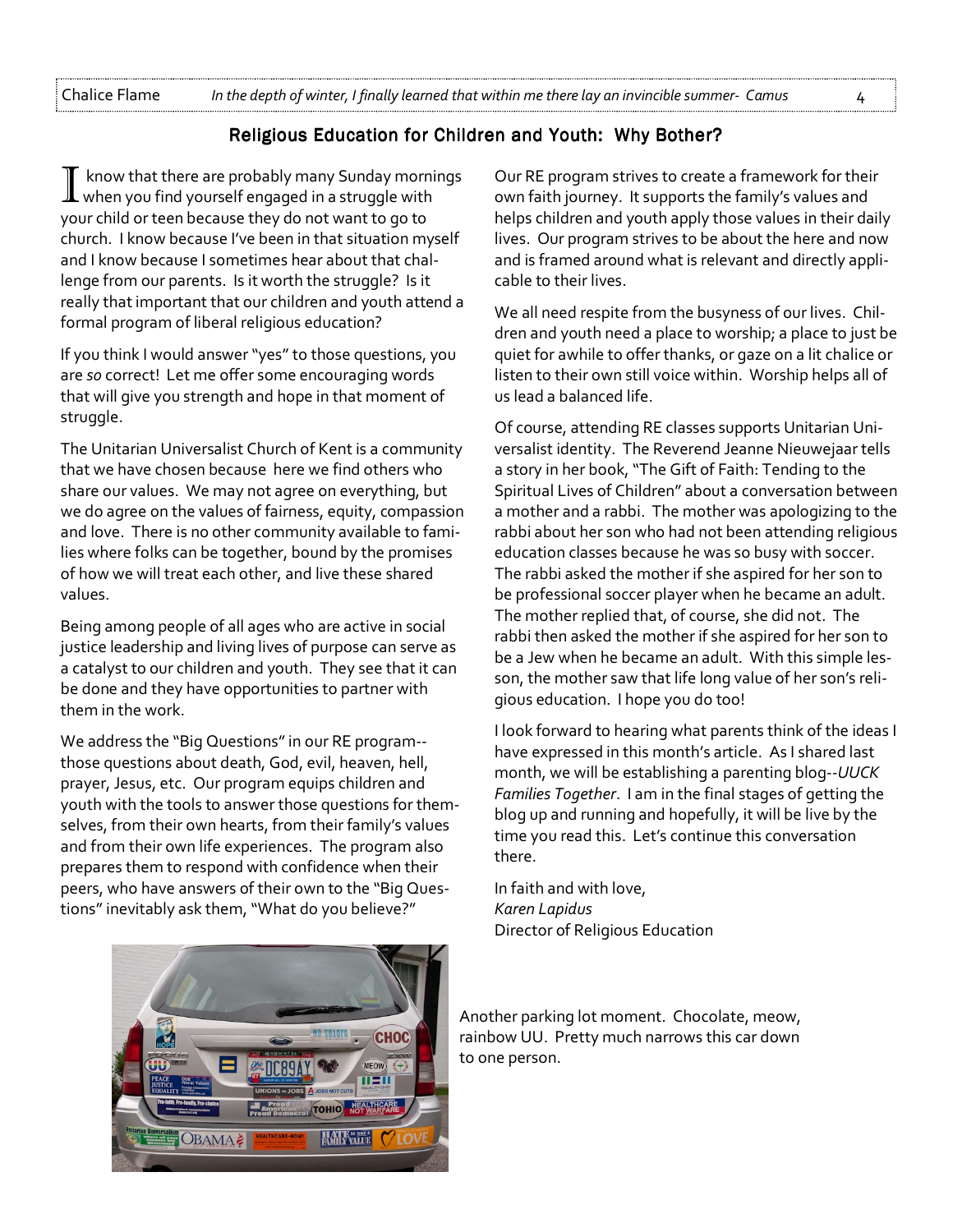# Religious Education for Children and Youth: Why Bother?

know that there are probably many Sunday mornings when you find yourself engaged in a struggle with your child or teen because they do not want to go to church. I know because I've been in that situation myself and I know because I sometimes hear about that challenge from our parents. Is it worth the struggle? Is it really that important that our children and youth attend a formal program of liberal religious education?

If you think I would answer "yes" to those questions, you are so correct! Let me offer some encouraging words that will give you strength and hope in that moment of struggle.

The Unitarian Universalist Church of Kent is a community that we have chosen because here we find others who share our values. We may not agree on everything, but we do agree on the values of fairness, equity, compassion and love. There is no other community available to families where folks can be together, bound by the promises of how we will treat each other, and live these shared values.

Being among people of all ages who are active in social justice leadership and living lives of purpose can serve as a catalyst to our children and youth. They see that it can be done and they have opportunities to partner with them in the work.

We address the "Big Questions" in our RE program- those questions about death, God, evil, heaven, hell, prayer, Jesus, etc. Our program equips children and youth with the tools to answer those questions for themselves, from their own hearts, from their family's values and from their own life experiences. The program also prepares them to respond with confidence when their peers, who have answers of their own to the "Big Questions" inevitably ask them, "What do you believe?"

Our RE program strives to create a framework for their own faith journey. It supports the family's values and helps children and youth apply those values in their daily lives. Our program strives to be about the here and now and is framed around what is relevant and directly applicable to their lives.

We all need respite from the busyness of our lives. Children and youth need a place to worship; a place to just be quiet for awhile to offer thanks, or gaze on a lit chalice or listen to their own still voice within. Worship helps all of us lead a balanced life.

Of course, attending RE classes supports Unitarian Universalist identity. The Reverend Jeanne Nieuwejaar tells a story in her book, "The Gift of Faith: Tending to the Spiritual Lives of Children" about a conversation between a mother and a rabbi. The mother was apologizing to the rabbi about her son who had not been attending religious education classes because he was so busy with soccer. The rabbi asked the mother if she aspired for her son to be professional soccer player when he became an adult. The mother replied that, of course, she did not. The rabbi then asked the mother if she aspired for her son to be a Jew when he became an adult. With this simple lesson, the mother saw that life long value of her son's religious education. I hope you do too!

I look forward to hearing what parents think of the ideas I have expressed in this month's article. As I shared last month, we will be establishing a parenting blog--UUCK Families Together. I am in the final stages of getting the blog up and running and hopefully, it will be live by the time you read this. Let's continue this conversation there.

In faith and with love, Karen Lapidus Director of Religious Education



Another parking lot moment. Chocolate, meow, rainbow UU. Pretty much narrows this car down to one person.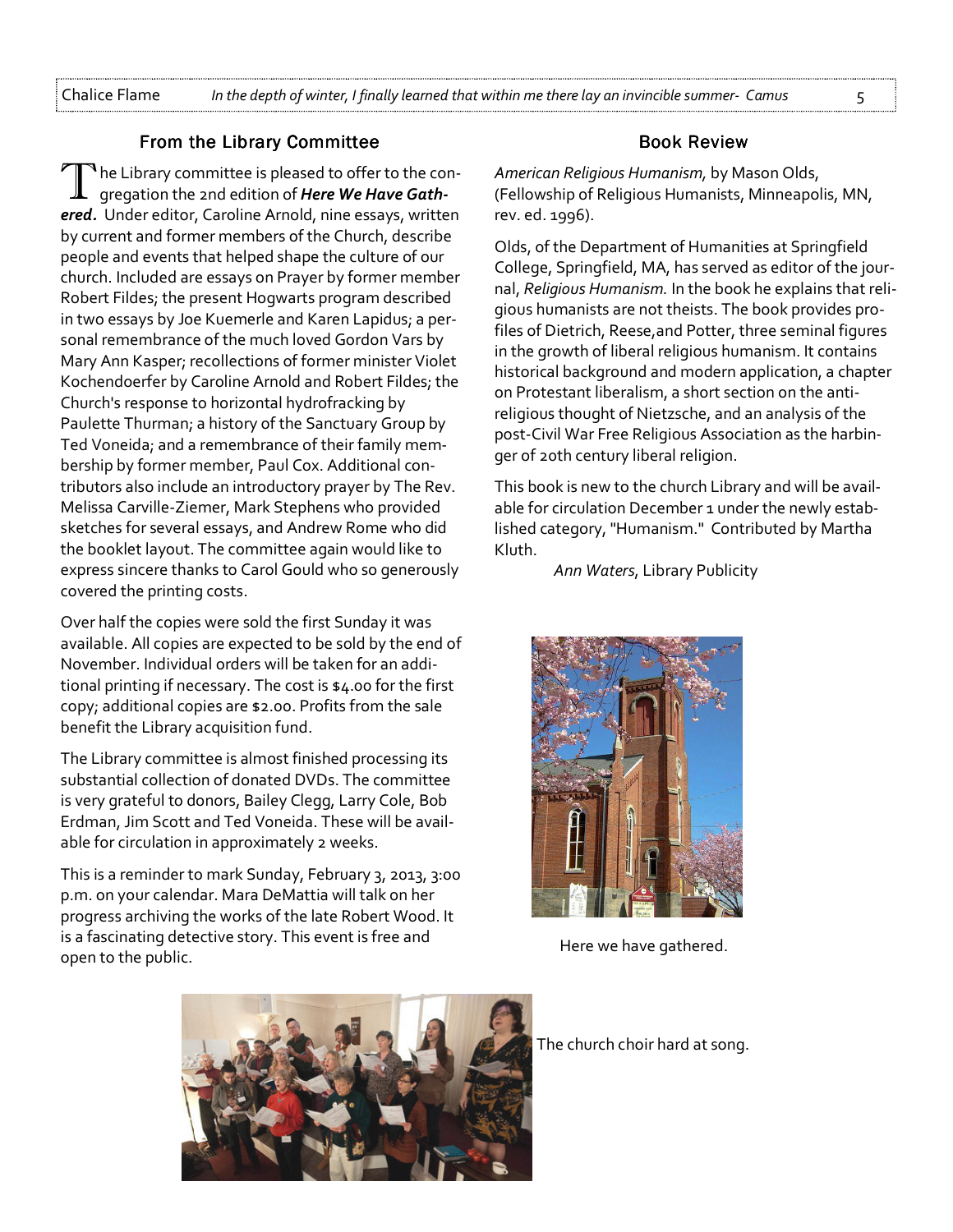#### From the Library Committee

 $\mathbf{T}$  he Library committee is pleased to offer to the congregation the 2nd edition of Here We Have Gathered. Under editor, Caroline Arnold, nine essays, written by current and former members of the Church, describe people and events that helped shape the culture of our church. Included are essays on Prayer by former member Robert Fildes; the present Hogwarts program described in two essays by Joe Kuemerle and Karen Lapidus; a personal remembrance of the much loved Gordon Vars by Mary Ann Kasper; recollections of former minister Violet Kochendoerfer by Caroline Arnold and Robert Fildes; the Church's response to horizontal hydrofracking by Paulette Thurman; a history of the Sanctuary Group by Ted Voneida; and a remembrance of their family membership by former member, Paul Cox. Additional contributors also include an introductory prayer by The Rev. Melissa Carville-Ziemer, Mark Stephens who provided sketches for several essays, and Andrew Rome who did the booklet layout. The committee again would like to express sincere thanks to Carol Gould who so generously covered the printing costs.

Over half the copies were sold the first Sunday it was available. All copies are expected to be sold by the end of November. Individual orders will be taken for an additional printing if necessary. The cost is \$4.00 for the first copy; additional copies are \$2.00. Profits from the sale benefit the Library acquisition fund.

The Library committee is almost finished processing its substantial collection of donated DVDs. The committee is very grateful to donors, Bailey Clegg, Larry Cole, Bob Erdman, Jim Scott and Ted Voneida. These will be available for circulation in approximately 2 weeks.

This is a reminder to mark Sunday, February 3, 2013, 3:00 p.m. on your calendar. Mara DeMattia will talk on her progress archiving the works of the late Robert Wood. It is a fascinating detective story. This event is free and open to the public.

## **Book Review**

American Religious Humanism, by Mason Olds, (Fellowship of Religious Humanists, Minneapolis, MN, rev. ed. 1996).

Olds, of the Department of Humanities at Springfield College, Springfield, MA, has served as editor of the journal, Religious Humanism. In the book he explains that religious humanists are not theists. The book provides profiles of Dietrich, Reese,and Potter, three seminal figures in the growth of liberal religious humanism. It contains historical background and modern application, a chapter on Protestant liberalism, a short section on the antireligious thought of Nietzsche, and an analysis of the post-Civil War Free Religious Association as the harbinger of 20th century liberal religion.

This book is new to the church Library and will be available for circulation December 1 under the newly established category, "Humanism." Contributed by Martha Kluth.

Ann Waters, Library Publicity



Here we have gathered.



The church choir hard at song.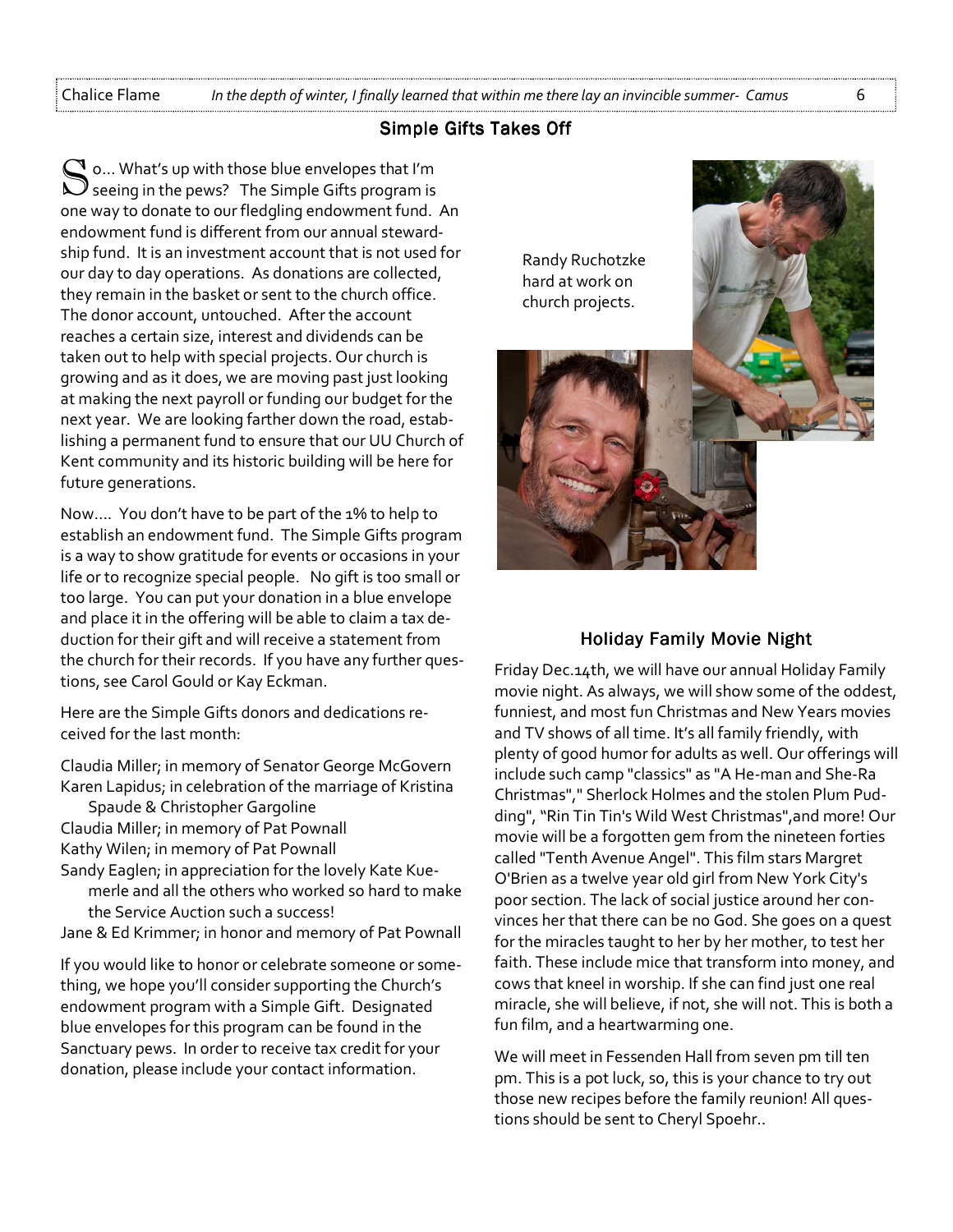#### Simple Gifts Takes Off

 $\mathbb C$  o... What's up with those blue envelopes that I'm  $\bigcup$  seeing in the pews? The Simple Gifts program is one way to donate to our fledgling endowment fund. An endowment fund is different from our annual stewardship fund. It is an investment account that is not used for our day to day operations. As donations are collected, they remain in the basket or sent to the church office. The donor account, untouched. After the account reaches a certain size, interest and dividends can be taken out to help with special projects. Our church is growing and as it does, we are moving past just looking at making the next payroll or funding our budget for the next year. We are looking farther down the road, establishing a permanent fund to ensure that our UU Church of Kent community and its historic building will be here for future generations.

Now…. You don't have to be part of the 1% to help to establish an endowment fund. The Simple Gifts program is a way to show gratitude for events or occasions in your life or to recognize special people. No gift is too small or too large. You can put your donation in a blue envelope and place it in the offering will be able to claim a tax deduction for their gift and will receive a statement from the church for their records. If you have any further questions, see Carol Gould or Kay Eckman.

Here are the Simple Gifts donors and dedications received for the last month:

Claudia Miller; in memory of Senator George McGovern Karen Lapidus; in celebration of the marriage of Kristina

- Spaude & Christopher Gargoline Claudia Miller; in memory of Pat Pownall Kathy Wilen; in memory of Pat Pownall Sandy Eaglen; in appreciation for the lovely Kate Kue-
- merle and all the others who worked so hard to make the Service Auction such a success!
- Jane & Ed Krimmer; in honor and memory of Pat Pownall

If you would like to honor or celebrate someone or something, we hope you'll consider supporting the Church's endowment program with a Simple Gift. Designated blue envelopes for this program can be found in the Sanctuary pews. In order to receive tax credit for your donation, please include your contact information.

Randy Ruchotzke hard at work on church projects.



#### Holiday Family Movie Night

Friday Dec.14th, we will have our annual Holiday Family movie night. As always, we will show some of the oddest, funniest, and most fun Christmas and New Years movies and TV shows of all time. It's all family friendly, with plenty of good humor for adults as well. Our offerings will include such camp "classics" as "A He-man and She-Ra Christmas"," Sherlock Holmes and the stolen Plum Pudding", "Rin Tin Tin's Wild West Christmas",and more! Our movie will be a forgotten gem from the nineteen forties called "Tenth Avenue Angel". This film stars Margret O'Brien as a twelve year old girl from New York City's poor section. The lack of social justice around her convinces her that there can be no God. She goes on a quest for the miracles taught to her by her mother, to test her faith. These include mice that transform into money, and cows that kneel in worship. If she can find just one real miracle, she will believe, if not, she will not. This is both a fun film, and a heartwarming one.

We will meet in Fessenden Hall from seven pm till ten pm. This is a pot luck, so, this is your chance to try out those new recipes before the family reunion! All questions should be sent to Cheryl Spoehr..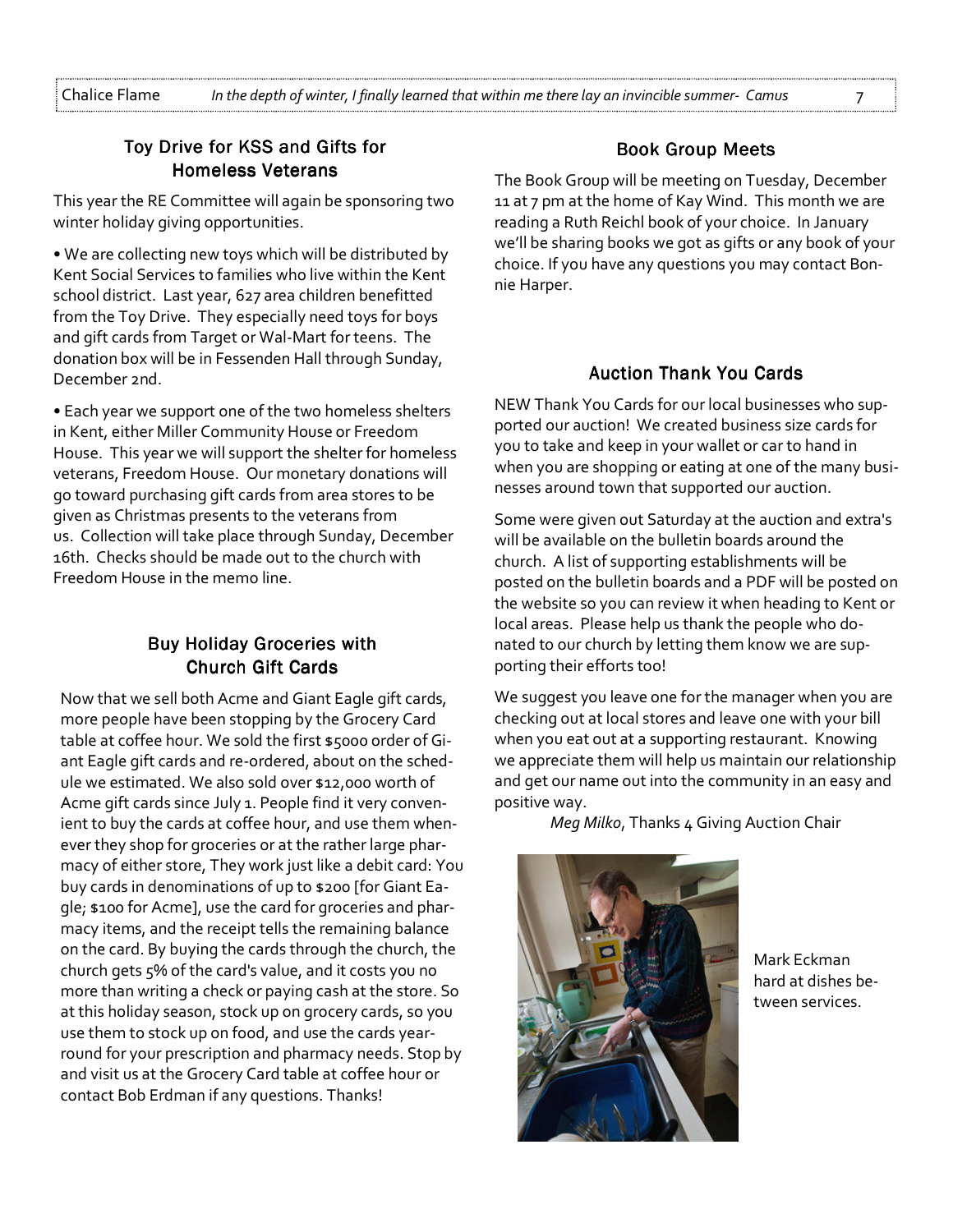# Toy Drive for KSS and Gifts for **Homeless Veterans**

This year the RE Committee will again be sponsoring two winter holiday giving opportunities.

• We are collecting new toys which will be distributed by Kent Social Services to families who live within the Kent school district. Last year, 627 area children benefitted from the Toy Drive. They especially need toys for boys and gift cards from Target or Wal-Mart for teens. The donation box will be in Fessenden Hall through Sunday, December 2nd.

• Each year we support one of the two homeless shelters in Kent, either Miller Community House or Freedom House. This year we will support the shelter for homeless veterans, Freedom House. Our monetary donations will go toward purchasing gift cards from area stores to be given as Christmas presents to the veterans from us. Collection will take place through Sunday, December 16th. Checks should be made out to the church with Freedom House in the memo line.

# **Buy Holiday Groceries with Church Gift Cards**

Now that we sell both Acme and Giant Eagle gift cards, more people have been stopping by the Grocery Card table at coffee hour. We sold the first \$5000 order of Giant Eagle gift cards and re-ordered, about on the schedule we estimated. We also sold over \$12,000 worth of Acme gift cards since July 1. People find it very convenient to buy the cards at coffee hour, and use them whenever they shop for groceries or at the rather large pharmacy of either store, They work just like a debit card: You buy cards in denominations of up to \$200 [for Giant Eagle; \$100 for Acme], use the card for groceries and pharmacy items, and the receipt tells the remaining balance on the card. By buying the cards through the church, the church gets 5% of the card's value, and it costs you no more than writing a check or paying cash at the store. So at this holiday season, stock up on grocery cards, so you use them to stock up on food, and use the cards yearround for your prescription and pharmacy needs. Stop by and visit us at the Grocery Card table at coffee hour or contact Bob Erdman if any questions. Thanks!

## Book Group Meets

The Book Group will be meeting on Tuesday, December 11 at 7 pm at the home of Kay Wind. This month we are reading a Ruth Reichl book of your choice. In January we'll be sharing books we got as gifts or any book of your choice. If you have any questions you may contact Bonnie Harper.

#### **Auction Thank You Cards**

NEW Thank You Cards for our local businesses who supported our auction! We created business size cards for you to take and keep in your wallet or car to hand in when you are shopping or eating at one of the many businesses around town that supported our auction.

Some were given out Saturday at the auction and extra's will be available on the bulletin boards around the church. A list of supporting establishments will be posted on the bulletin boards and a PDF will be posted on the website so you can review it when heading to Kent or local areas. Please help us thank the people who donated to our church by letting them know we are supporting their efforts too!

We suggest you leave one for the manager when you are checking out at local stores and leave one with your bill when you eat out at a supporting restaurant. Knowing we appreciate them will help us maintain our relationship and get our name out into the community in an easy and positive way.

Meg Milko, Thanks 4 Giving Auction Chair



Mark Eckman hard at dishes between services.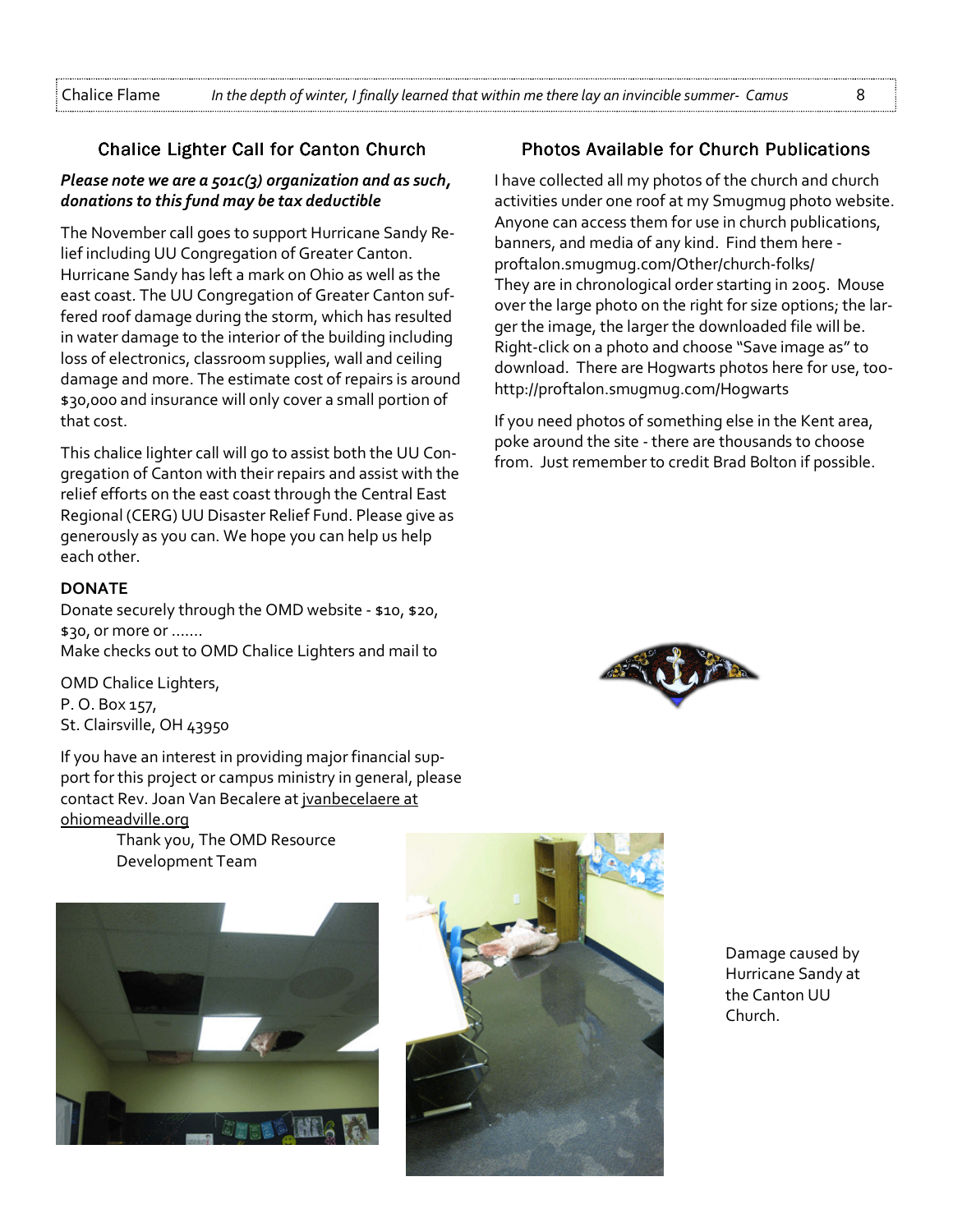### Chalice Lighter Call for Canton Church

#### Please note we are a  $501C(3)$  organization and as such, donations to this fund may be tax deductible

The November call goes to support Hurricane Sandy Relief including UU Congregation of Greater Canton. Hurricane Sandy has left a mark on Ohio as well as the east coast. The UU Congregation of Greater Canton suffered roof damage during the storm, which has resulted in water damage to the interior of the building including loss of electronics, classroom supplies, wall and ceiling damage and more. The estimate cost of repairs is around \$30,000 and insurance will only cover a small portion of that cost.

This chalice lighter call will go to assist both the UU Congregation of Canton with their repairs and assist with the relief efforts on the east coast through the Central East Regional (CERG) UU Disaster Relief Fund. Please give as generously as you can. We hope you can help us help each other.

#### **DONATE**

Donate securely through the OMD website - \$10, \$20, \$30, or more or ……. Make checks out to OMD Chalice Lighters and mail to

OMD Chalice Lighters, P. O. Box 157, St. Clairsville, OH 43950

If you have an interest in providing major financial support for this project or campus ministry in general, please contact Rev. Joan Van Becalere at jvanbecelaere at ohiomeadville.org

> Thank you, The OMD Resource Development Team





## Photos Available for Church Publications

I have collected all my photos of the church and church activities under one roof at my Smugmug photo website. Anyone can access them for use in church publications, banners, and media of any kind. Find them here proftalon.smugmug.com/Other/church-folks/ They are in chronological order starting in 2005. Mouse over the large photo on the right for size options; the larger the image, the larger the downloaded file will be. Right-click on a photo and choose "Save image as" to download. There are Hogwarts photos here for use, toohttp://proftalon.smugmug.com/Hogwarts

If you need photos of something else in the Kent area, poke around the site - there are thousands to choose from. Just remember to credit Brad Bolton if possible.



Damage caused by Hurricane Sandy at the Canton UU Church.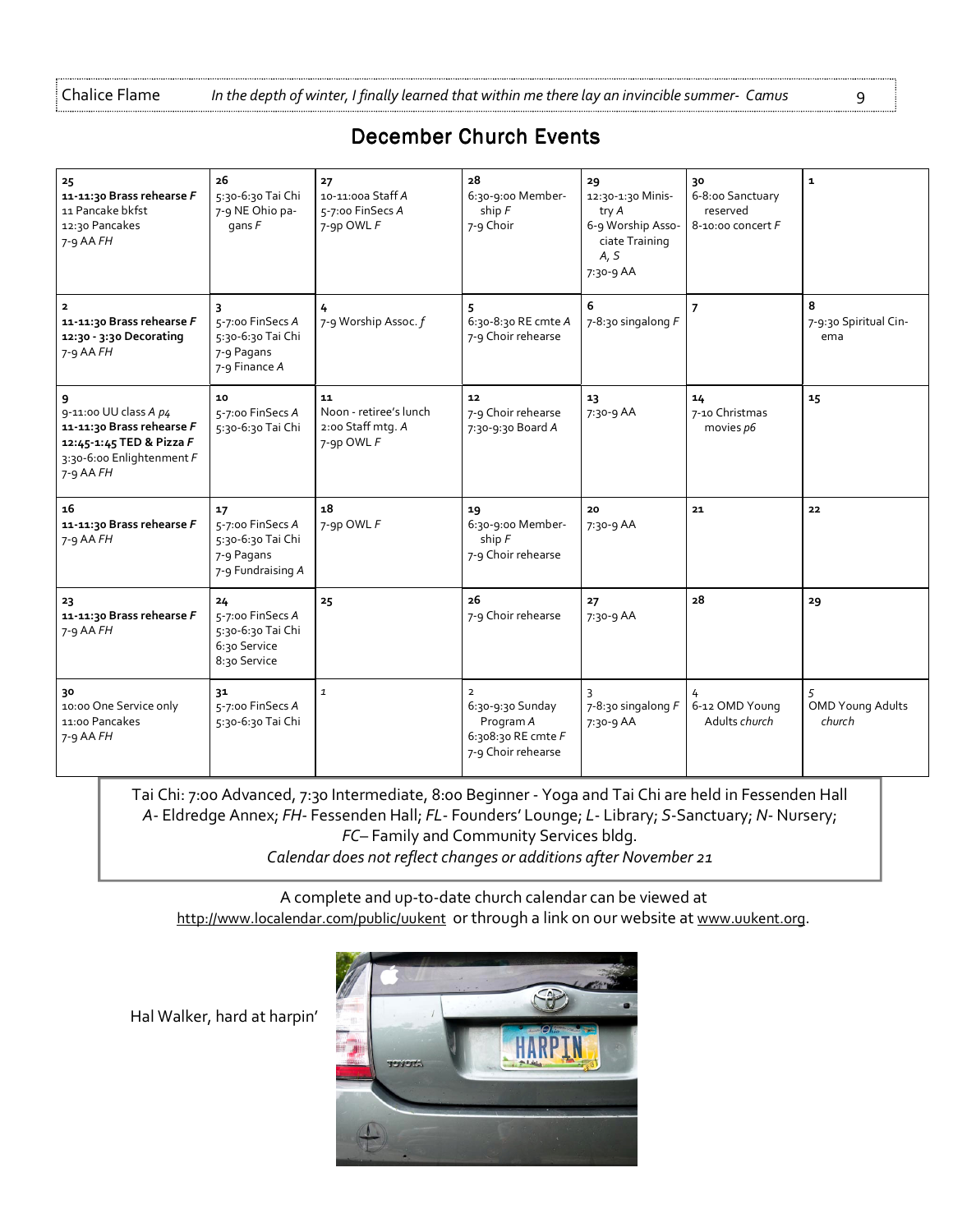Chalice Flame In the depth of winter, I finally learned that within me there lay an invincible summer- Camus 9

# December Church Events

| 25<br>11-11:30 Brass rehearse F<br>11 Pancake bkfst<br>12:30 Pancakes<br>$7 - 9$ AA $FH$                                        | 26<br>5:30-6:30 Tai Chi<br>7-9 NE Ohio pa-<br>gans $F$                         | 27<br>10-11:00a Staff A<br>5-7:00 FinSecs A<br>7-9p OWL F       | 28<br>6:30-9:00 Member-<br>ship $F$<br>7-9 Choir                            | 29<br>12:30-1:30 Minis-<br>try A<br>6-9 Worship Asso-<br>ciate Training<br>A, S<br>7:30-9 AA | 30<br>6-8:00 Sanctuary<br>reserved<br>$8-10:00$ concert $F$ | $\mathbf{1}$                      |
|---------------------------------------------------------------------------------------------------------------------------------|--------------------------------------------------------------------------------|-----------------------------------------------------------------|-----------------------------------------------------------------------------|----------------------------------------------------------------------------------------------|-------------------------------------------------------------|-----------------------------------|
| 11-11:30 Brass rehearse F<br>12:30 - 3:30 Decorating<br>$7 - 9$ AA $FH$                                                         | 5-7:00 FinSecs A<br>5:30-6:30 Tai Chi<br>7-9 Pagans<br>7-9 Finance A           | 7-9 Worship Assoc. f                                            | 6:30-8:30 RE cmte A<br>7-9 Choir rehearse                                   | 6<br>$7-8:30$ singalong $F$                                                                  | $\overline{7}$                                              | 8<br>7-9:30 Spiritual Cin-<br>ema |
| 9<br>9-11:00 UU class A p4<br>11-11:30 Brass rehearse F<br>12:45-1:45 TED & Pizza F<br>3:30-6:00 Enlightenment F<br>$7-9$ AA FH | 10<br>5-7:00 FinSecs A<br>5:30-6:30 Tai Chi                                    | 11<br>Noon - retiree's lunch<br>2:00 Staff mtg. A<br>7-9p OWL F | 12<br>7-9 Choir rehearse<br>7:30-9:30 Board A                               | 13<br>7:30-9 AA                                                                              | 14<br>7-10 Christmas<br>movies p6                           | 15                                |
| 16<br>11-11:30 Brass rehearse F<br>$7 - 9$ AA $FH$                                                                              | 17<br>5-7:00 FinSecs A<br>5:30-6:30 Tai Chi<br>7-9 Pagans<br>7-9 Fundraising A | 18<br>7-9p OWL F                                                | 19<br>6:30-9:00 Member-<br>ship $F$<br>7-9 Choir rehearse                   | 20<br>7:30-9 AA                                                                              | 21                                                          | 22                                |
| 23<br>11-11:30 Brass rehearse F<br>$7 - 9$ AA $FH$                                                                              | 24<br>5-7:00 FinSecs A<br>5:30-6:30 Tai Chi<br>6:30 Service<br>8:30 Service    | 25                                                              | 26<br>7-9 Choir rehearse                                                    | 27<br>7:30-9 AA                                                                              | 28                                                          | 29                                |
| 30<br>10:00 One Service only<br>11:00 Pancakes<br>$7-9$ AA $FH$                                                                 | 31<br>5-7:00 FinSecs A<br>5:30-6:30 Tai Chi                                    | $\mathbf{1}$                                                    | 6:30-9:30 Sunday<br>Program A<br>6:308:30 RE cmte $F$<br>7-9 Choir rehearse | 7-8:30 singalong $F$<br>7:30-9 AA                                                            | 6-12 OMD Young<br>Adults church                             | <b>OMD Young Adults</b><br>church |

Tai Chi: 7:00 Advanced, 7:30 Intermediate, 8:00 Beginner - Yoga and Tai Chi are held in Fessenden Hall A- Eldredge Annex; FH- Fessenden Hall; FL- Founders' Lounge; L- Library; S-Sanctuary; N- Nursery; FC– Family and Community Services bldg. Calendar does not reflect changes or additions after November 21

A complete and up-to-date church calendar can be viewed at http://www.localendar.com/public/uukent or through a link on our website at www.uukent.org.

Hal Walker, hard at harpin'